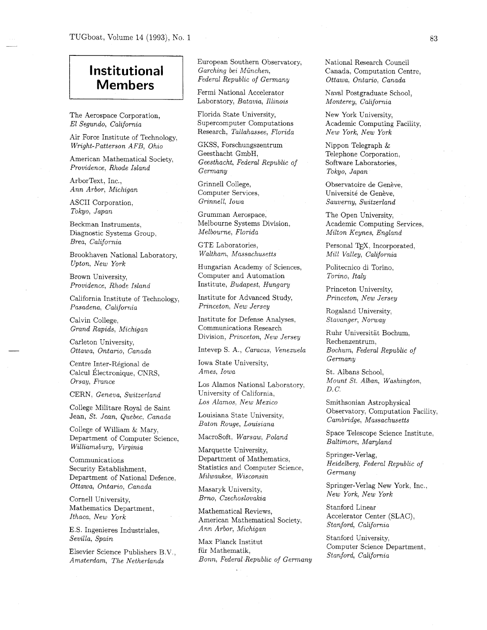## **Institutional Members**

The Aerospace Corporation, *El Segundo, Calzfornia* 

Air Force Institute of Technology, *Wright-Patterson AFB, Ohio* 

American Mathematical Society, *Providence, Rhode Island* 

ArborText, Inc., *Ann Arbor, Michigan* 

ASCII Corporation, *Tokyo, Japan* 

Beckman Instruments, Diagnostic Systems Group, *Brea, California* 

Brookhaven National Laboratory. *Upton, New York* 

Brown University, *Providence, Rhode Island* 

California Institute of Technology, *Pasadena, California* 

Calvin College, *Grand Rapids, Michigan* 

Carleton University, *Ottawa, Ontario, Canada* 

Centre Inter-Regional de Calcul Électronique, CNRS, *Orsay, France* 

CERN, *Geneva, Switzerland* 

College Militare Royal de Saint Jean, *St. Jean, Quebec, Canada* 

College of William & Mary, Department of Computer Science, *Williamsburg, Virginia* 

Communications Security Establishment, Department of National Defence. *Ottawa, Ontario, Canada* 

Cornell University, Mathematics Department, *Ithaca, New York* 

E.S. Ingenieres Industriales, *Sevilla, Spain* 

Elsevier Science Publishers B.V., *Amsterdam, The Netherlands* 

European Southern Observatory, *Garching bei Munchen, Federal Republic of Germany* 

Fermi National Accelerator Laboratory, *Batavia, Illinois* 

Florida State University, Supercomputer Computations Research, *Tallahassee, Florida* 

GKSS, Forschungszentrum Geesthacht GmbH, *Geesthacht, Federal Republic of Germany* 

Grinnell College, Computer Services, *Grinnell, Iowa* 

Grumman Aerospace, Melbourne Systems Division, *Melbourne, Florida* 

GTE Laboratories, *Waltham, Massachusetts* 

Hungarian Academy of Sciences, Computer and Automation Institute, *Budapest, Hungary* 

Institute for Advanced Study, *Princeton, New Jersey* 

Institute for Defense Analyses. Communications Research Division, *Princeton, New Jersey* 

Intevep S. A,, *Caracas, Venezuela* 

Iowa State University, *Ames, Iowa* 

Los Alamos National Laboratory, University of California, *Los Alamos: New Mexico* 

Louisiana State University, *Baton Rouge, Louisiana* 

Macrosoft, *Warsaw, Poland* 

Marquette University, Department of Mathematics, Statistics and Computer Science, *Milwaukee, Wisconsin* 

Masaryk University, *Brno, Czechoslovakia* 

Mathematical Reviews, American Mathematical Society. *Ann Arbor, Michigan* 

Max Planck Institut fiir Mathematik, *Bonn, Federal Republic of Germany*  National Research Council Canada, Computation Centre, *Ottawa, Ontario, Canada* 

Naval Postgraduate School, *Monterey, California* 

New York University, Academic Computing Facility, *New York, New York* 

Nippon Telegraph & Telephone Corporation, Software Laboratories, *Tokyo, Japan* 

Observatoire de Genève, Université de Genève, *Sauverny, Switzerland* 

The Open University, Academic Computing Services, *Milton Keynes, England* 

Personal TEX, Incorporated, *Mill Valley, Calzfornia* 

Politecnico di Torino, *Torino, Italy* 

Princeton University, *Princeton, New Jersey* 

Rogaland University, *Stavanger, Norway* 

Ruhr Universitat Bochum, Rechenzentrum, *Bochum, Federal Republic of Germany* 

St. Albans School, *Mount St. Alban, Washington, D. C.* 

Smithsonian Astrophysical Observatory, Computation Facility, *Cambridge, Massachusetts* 

Space Telescope Science Institute, *Baltimore, Maryland* 

Springer-Verlag, *Heidelberg, Federal Republic of Germany* 

Springer-Verlag New York, Inc., *New York, New York* 

Stanford Linear Accelerator Center (SLAC), *Stanford, Calzfornia* 

Stanford University, Computer Science Department, *Stanford, California*